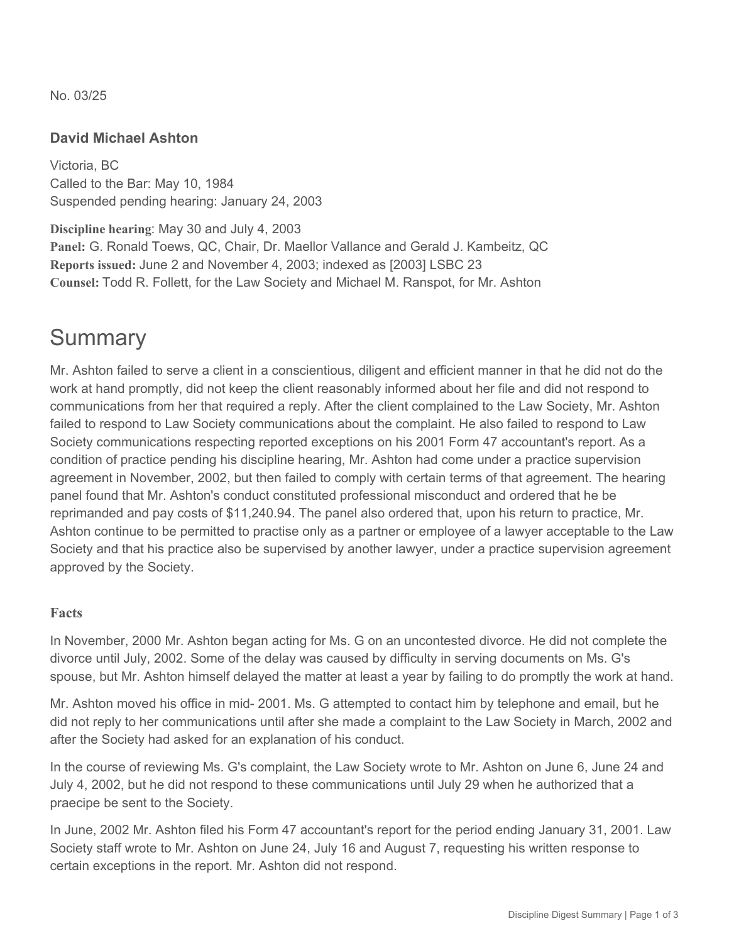No. 03/25

#### **David Michael Ashton**

Victoria, BC Called to the Bar: May 10, 1984 Suspended pending hearing: January 24, 2003

**Discipline hearing**: May 30 and July 4, 2003 **Panel:** G. Ronald Toews, QC, Chair, Dr. Maellor Vallance and Gerald J. Kambeitz, QC **Reports issued:** June 2 and November 4, 2003; indexed as [2003] LSBC 23 **Counsel:** Todd R. Follett, for the Law Society and Michael M. Ranspot, for Mr. Ashton

### **Summary**

Mr. Ashton failed to serve a client in a conscientious, diligent and efficient manner in that he did not do the work at hand promptly, did not keep the client reasonably informed about her file and did not respond to communications from her that required a reply. After the client complained to the Law Society, Mr. Ashton failed to respond to Law Society communications about the complaint. He also failed to respond to Law Society communications respecting reported exceptions on his 2001 Form 47 accountant's report. As a condition of practice pending his discipline hearing, Mr. Ashton had come under a practice supervision agreement in November, 2002, but then failed to comply with certain terms of that agreement. The hearing panel found that Mr. Ashton's conduct constituted professional misconduct and ordered that he be reprimanded and pay costs of \$11,240.94. The panel also ordered that, upon his return to practice, Mr. Ashton continue to be permitted to practise only as a partner or employee of a lawyer acceptable to the Law Society and that his practice also be supervised by another lawyer, under a practice supervision agreement approved by the Society.

#### **Facts**

In November, 2000 Mr. Ashton began acting for Ms. G on an uncontested divorce. He did not complete the divorce until July, 2002. Some of the delay was caused by difficulty in serving documents on Ms. G's spouse, but Mr. Ashton himself delayed the matter at least a year by failing to do promptly the work at hand.

Mr. Ashton moved his office in mid- 2001. Ms. G attempted to contact him by telephone and email, but he did not reply to her communications until after she made a complaint to the Law Society in March, 2002 and after the Society had asked for an explanation of his conduct.

In the course of reviewing Ms. G's complaint, the Law Society wrote to Mr. Ashton on June 6, June 24 and July 4, 2002, but he did not respond to these communications until July 29 when he authorized that a praecipe be sent to the Society.

In June, 2002 Mr. Ashton filed his Form 47 accountant's report for the period ending January 31, 2001. Law Society staff wrote to Mr. Ashton on June 24, July 16 and August 7, requesting his written response to certain exceptions in the report. Mr. Ashton did not respond.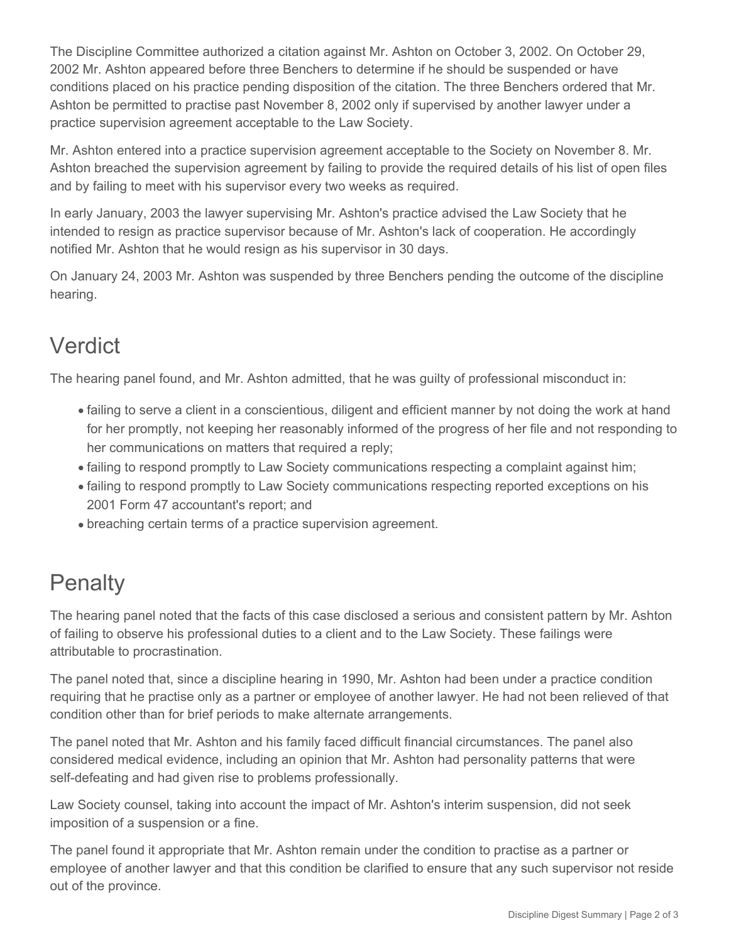The Discipline Committee authorized a citation against Mr. Ashton on October 3, 2002. On October 29, 2002 Mr. Ashton appeared before three Benchers to determine if he should be suspended or have conditions placed on his practice pending disposition of the citation. The three Benchers ordered that Mr. Ashton be permitted to practise past November 8, 2002 only if supervised by another lawyer under a practice supervision agreement acceptable to the Law Society.

Mr. Ashton entered into a practice supervision agreement acceptable to the Society on November 8. Mr. Ashton breached the supervision agreement by failing to provide the required details of his list of open files and by failing to meet with his supervisor every two weeks as required.

In early January, 2003 the lawyer supervising Mr. Ashton's practice advised the Law Society that he intended to resign as practice supervisor because of Mr. Ashton's lack of cooperation. He accordingly notified Mr. Ashton that he would resign as his supervisor in 30 days.

On January 24, 2003 Mr. Ashton was suspended by three Benchers pending the outcome of the discipline hearing.

## Verdict

The hearing panel found, and Mr. Ashton admitted, that he was guilty of professional misconduct in:

- failing to serve a client in a conscientious, diligent and efficient manner by not doing the work at hand for her promptly, not keeping her reasonably informed of the progress of her file and not responding to her communications on matters that required a reply;
- failing to respond promptly to Law Society communications respecting a complaint against him;
- failing to respond promptly to Law Society communications respecting reported exceptions on his 2001 Form 47 accountant's report; and
- breaching certain terms of a practice supervision agreement.

# **Penalty**

The hearing panel noted that the facts of this case disclosed a serious and consistent pattern by Mr. Ashton of failing to observe his professional duties to a client and to the Law Society. These failings were attributable to procrastination.

The panel noted that, since a discipline hearing in 1990, Mr. Ashton had been under a practice condition requiring that he practise only as a partner or employee of another lawyer. He had not been relieved of that condition other than for brief periods to make alternate arrangements.

The panel noted that Mr. Ashton and his family faced difficult financial circumstances. The panel also considered medical evidence, including an opinion that Mr. Ashton had personality patterns that were self-defeating and had given rise to problems professionally.

Law Society counsel, taking into account the impact of Mr. Ashton's interim suspension, did not seek imposition of a suspension or a fine.

The panel found it appropriate that Mr. Ashton remain under the condition to practise as a partner or employee of another lawyer and that this condition be clarified to ensure that any such supervisor not reside out of the province.